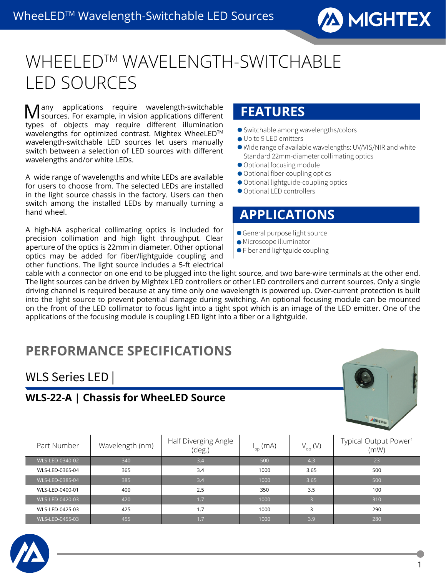

# WHEELED™ WAVELENGTH-SWITCHABLE LED SOURCES

Many applications require wavelength-switchable sources. For example, in vision applications different types of objects may require different illumination wavelengths for optimized contrast. Mightex WheeLED™ wavelength-switchable LED sources let users manually switch between a selection of LED sources with different wavelengths and/or white LEDs.

A wide range of wavelengths and white LEDs are available for users to choose from. The selected LEDs are installed in the light source chassis in the factory. Users can then switch among the installed LEDs by manually turning a hand wheel.

A high-NA aspherical collimating optics is included for precision collimation and high light throughput. Clear aperture of the optics is 22mm in diameter. Other optional optics may be added for fiber/lightguide coupling and other functions. The light source includes a 5-ft electrical

### **FEATURES**

- Switchable among wavelengths/colors
- Up to 9 LED emitters
- Wide range of available wavelengths: UV/VIS/NIR and white Standard 22mm-diameter collimating optics
- Optional focusing module
- Optional fiber-coupling optics
- Optional lightguide-coupling optics
- Optional LED controllers

#### **APPLICATIONS**

- General purpose light source
- Microscope illuminator
- Fiber and lightguide coupling

cable with a connector on one end to be plugged into the light source, and two bare-wire terminals at the other end. The light sources can be driven by Mightex LED controllers or other LED controllers and current sources. Only a single driving channel is required because at any time only one wavelength is powered up. Over-current protection is built into the light source to prevent potential damage during switching. An optional focusing module can be mounted on the front of the LED collimator to focus light into a tight spot which is an image of the LED emitter. One of the applications of the focusing module is coupling LED light into a fiber or a lightguide.

## **PERFORMANCE SPECIFICATIONS**

#### WLS Series LED |

#### **WLS-22-A | Chassis for WheeLED Source**



| Part Number     | Wavelength (nm) | Half Diverging Angle<br>(deg.) | l <sub>op</sub> (mA) | $V_{op}^{\text{}}(V)$ | Typical Output Power <sup>1</sup><br>(mW) |
|-----------------|-----------------|--------------------------------|----------------------|-----------------------|-------------------------------------------|
| WLS-LED-0340-02 | 340             | 3.4                            | 500                  | 4.3                   | 23                                        |
| WLS-LED-0365-04 | 365             | 3.4                            | 1000                 | 3.65                  | 500                                       |
| WLS-LED-0385-04 | 385             | 3.4                            | 1000                 | 3.65                  | 500                                       |
| WLS-LED-0400-01 | 400             | 2.5                            | 350                  | 3.5                   | 100                                       |
| WLS-LED-0420-03 | 420             | 1.7                            | 1000                 | 3                     | 310                                       |
| WLS-LED-0425-03 | 425             | 1.7                            | 1000                 | 3                     | 290                                       |
| WLS-LED-0455-03 | 455             | 1.7                            | 1000                 | 3.9                   | 280                                       |

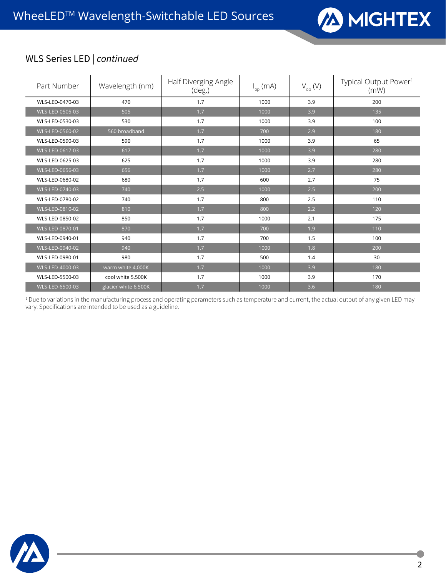

#### WLS Series LED | *continued*

| Part Number     | Wavelength (nm)      | Half Diverging Angle<br>$(\text{deg.})$ | $I_{op}$ (mA) | $V_{op}$ (V) | Typical Output Power <sup>1</sup><br>(mW) |
|-----------------|----------------------|-----------------------------------------|---------------|--------------|-------------------------------------------|
| WLS-LED-0470-03 | 470                  | 1.7                                     | 1000          | 3.9          | 200                                       |
| WLS-LED-0505-03 | 505                  | 1.7                                     | 1000          | 3.9          | 135                                       |
| WLS-LED-0530-03 | 530                  | 1.7                                     | 1000          | 3.9          | 100                                       |
| WLS-LED-0560-02 | 560 broadband        | 1.7                                     | 700           | 2.9          | 180                                       |
| WLS-LED-0590-03 | 590                  | 1,7                                     | 1000          | 3.9          | 65                                        |
| WLS-LED-0617-03 | 617                  | 1.7                                     | 1000          | 3.9          | 280                                       |
| WLS-LED-0625-03 | 625                  | 1.7                                     | 1000          | 3.9          | 280                                       |
| WLS-LED-0656-03 | 656                  | 1.7                                     | 1000          | 2.7          | 280                                       |
| WLS-LED-0680-02 | 680                  | 1,7                                     | 600           | 2.7          | 75                                        |
| WLS-LED-0740-03 | 740                  | 2.5                                     | 1000          | 2.5          | 200                                       |
| WLS-LED-0780-02 | 740                  | 1.7                                     | 800           | 2.5          | 110                                       |
| WLS-LED-0810-02 | 810                  | 1.7                                     | 800           | 2.2          | 120                                       |
| WLS-LED-0850-02 | 850                  | 1.7                                     | 1000          | 2.1          | 175                                       |
| WLS-LED-0870-01 | 870                  | 1.7                                     | 700           | 1.9          | 110                                       |
| WLS-LED-0940-01 | 940                  | 1.7                                     | 700           | 1.5          | 100                                       |
| WLS-LED-0940-02 | 940                  | 1.7                                     | 1000          | 1.8          | 200                                       |
| WLS-LED-0980-01 | 980                  | 1,7                                     | 500           | 1.4          | 30                                        |
| WLS-LED-4000-03 | warm white 4,000K    | 1.7                                     | 1000          | 3.9          | 180                                       |
| WLS-LED-5500-03 | cool white 5,500K    | 1.7                                     | 1000          | 3.9          | 170                                       |
| WLS-LED-6500-03 | glacier white 6,500K | 1.7                                     | 1000          | 3.6          | 180                                       |

<sup>1</sup> Due to variations in the manufacturing process and operating parameters such as temperature and current, the actual output of any given LED may vary. Specifications are intended to be used as a guideline.

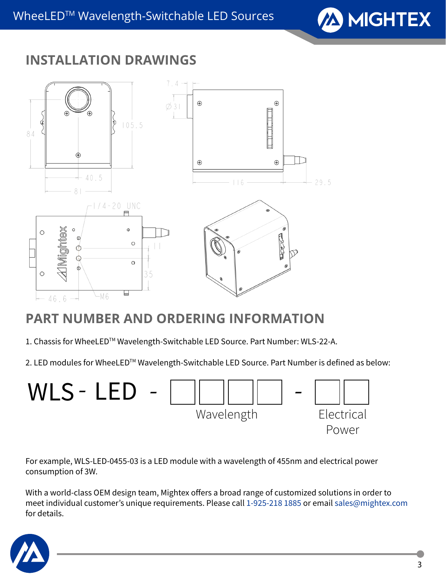

## **INSTALLATION DRAWINGS**



# **PART NUMBER AND ORDERING INFORMATION**

- 1. Chassis for WheeLED™ Wavelength-Switchable LED Source. Part Number: WLS-22-A.
- 2. LED modules for WheeLED™ Wavelength-Switchable LED Source. Part Number is defined as below:



For example, WLS-LED-0455-03 is a LED module with a wavelength of 455nm and electrical power consumption of 3W.

With a world-class OEM design team, Mightex offers a broad range of customized solutions in order to meet individual customer's unique requirements. Please call 1-925-218 1885 or email sales@mightex.com for details.